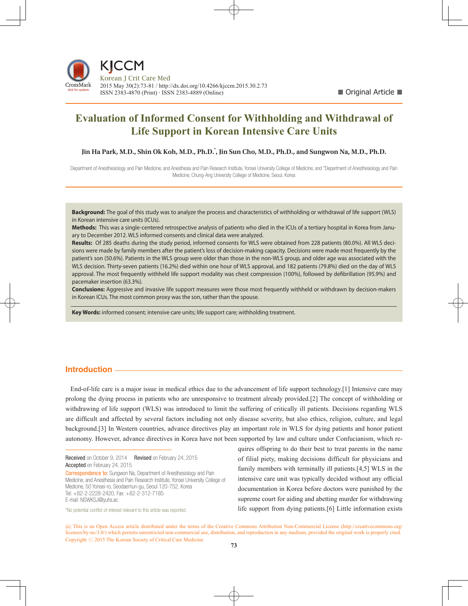

# **Evaluation of Informed Consent for Withholding and Withdrawal of Life Support in Korean Intensive Care Units**

Jin Ha Park, M.D., Shin Ok Koh, M.D., Ph.D.<sup>\*</sup>, Jin Sun Cho, M.D., Ph.D., and Sungwon Na, M.D., Ph.D.

Department of Anesthesiology and Pain Medicine, and Anesthesia and Pain Research Institute, Yonsei University College of Medicine, and \*Department of Anesthesiology and Pain Medicine, Chung-Ang University College of Medicine, Seoul, Korea **2014. 11 Vol. 29 No. 04 (243-348)**

**Background:** The goal of this study was to analyze the process and characteristics of withholding or withdrawal of life support (WLS) in Korean intensive care units (ICUs).

**Methods:** This was a single-centered retrospective analysis of patients who died in the ICUs of a tertiary hospital in Korea from January to December 2012. WLS informed consents and clinical data were analyzed.

**Results:** Of 285 deaths during the study period, informed consents for WLS were obtained from 228 patients (80.0%). All WLS decisions were made by family members after the patient's loss of decision-making capacity. Decisions were made most frequently by the patient's son (50.6%). Patients in the WLS group were older than those in the non-WLS group, and older age was associated with the WLS decision. Thirty-seven patients (16.2%) died within one hour of WLS approval, and 182 patients (79.8%) died on the day of WLS approval. The most frequently withheld life support modality was chest compression (100%), followed by defibrillation (95.9%) and pacemaker insertion (63.3%).

**Conclusions:** Aggressive and invasive life support measures were those most frequently withheld or withdrawn by decision-makers in Korean ICUs. The most common proxy was the son, rather than the spouse.

**Key Words:** informed consent; intensive care units; life support care; withholding treatment.

# **Introduction**

End-of-life care is a major issue in medical ethics due to the advancement of life support technology.[1] Intensive care may prolong the dying process in patients who are unresponsive to treatment already provided.[2] The concept of withholding or withdrawing of life support (WLS) was introduced to limit the suffering of critically ill patients. Decisions regarding WLS are difficult and affected by several factors including not only disease severity, but also ethics, religion, culture, and legal background.[3] In Western countries, advance directives play an important role in WLS for dying patients and honor patient autonomy. However, advance directives in Korea have not been supported by law and culture under Confucianism, which re-

Received on October 9, 2014 Revised on February 24, 2015 Accepted on February 24, 2015

Correspondence to: Sungwon Na, Department of Anesthesiology and Pain Medicine, and Anesthesia and Pain Research Institute, Yonsei University College of Medicine, 50 Yonsei-ro, Seodaemun-gu, Seoul 120-752, Korea Tel: +82-2-2228-2420, Fax: +82-2-312-7185 E-mail: NSWKSJ@yuhs.ac

\*No potential conflict of interest relevant to this article was reported.

quires offspring to do their best to treat parents in the name of filial piety, making decisions difficult for physicians and family members with terminally ill patients.[4,5] WLS in the intensive care unit was typically decided without any official documentation in Korea before doctors were punished by the supreme court for aiding and abetting murder for withdrawing life support from dying patients.[6] Little information exists

cc This is an Open Access article distributed under the terms of the Creative Commons Attribution Non-Commercial License (http://creativecommons.org/ licenses/by-nc/3.0/) which permits unrestricted non-commercial use, distribution, and reproduction in any medium, provided the original work is properly cited. Copyright ⓒ 2015 The Korean Society of Critical Care Medicine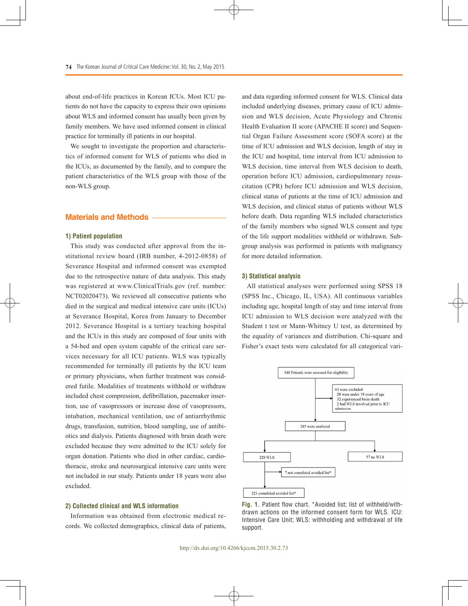about end-of-life practices in Korean ICUs. Most ICU patients do not have the capacity to express their own opinions about WLS and informed consent has usually been given by family members. We have used informed consent in clinical practice for terminally ill patients in our hospital.

We sought to investigate the proportion and characteristics of informed consent for WLS of patients who died in the ICUs, as documented by the family, and to compare the patient characteristics of the WLS group with those of the non-WLS group.

## **Materials and Methods**

#### **1) Patient population**

This study was conducted after approval from the institutional review board (IRB number, 4-2012-0858) of Severance Hospital and informed consent was exempted due to the retrospective nature of data analysis. This study was registered at www.ClinicalTrials.gov (ref. number: NCT02020473). We reviewed all consecutive patients who died in the surgical and medical intensive care units (ICUs) at Severance Hospital, Korea from January to December 2012. Severance Hospital is a tertiary teaching hospital and the ICUs in this study are composed of four units with a 54-bed and open system capable of the critical care services necessary for all ICU patients. WLS was typically recommended for terminally ill patients by the ICU team or primary physicians, when further treatment was considered futile. Modalities of treatments withhold or withdraw included chest compression, defibrillation, pacemaker insertion, use of vasopressors or increase dose of vasopressors, intubation, mechanical ventilation, use of antiarrhythmic drugs, transfusion, nutrition, blood sampling, use of antibiotics and dialysis. Patients diagnosed with brain death were excluded because they were admitted to the ICU solely for organ donation. Patients who died in other cardiac, cardiothoracic, stroke and neurosurgical intensive care units were not included in our study. Patients under 18 years were also excluded.

#### **2) Collected clinical and WLS information**

Information was obtained from electronic medical records. We collected demographics, clinical data of patients, and data regarding informed consent for WLS. Clinical data included underlying diseases, primary cause of ICU admission and WLS decision, Acute Physiology and Chronic Health Evaluation II score (APACHE II score) and Sequential Organ Failure Assessment score (SOFA score) at the time of ICU admission and WLS decision, length of stay in the ICU and hospital, time interval from ICU admission to WLS decision, time interval from WLS decision to death, operation before ICU admission, cardiopulmonary resuscitation (CPR) before ICU admission and WLS decision, clinical status of patients at the time of ICU admission and WLS decision, and clinical status of patients without WLS before death. Data regarding WLS included characteristics of the family members who signed WLS consent and type of the life support modalities withheld or withdrawn. Subgroup analysis was performed in patients with malignancy for more detailed information.

#### **3) Statistical analysis**

All statistical analyses were performed using SPSS 18 (SPSS Inc., Chicago, IL, USA). All continuous variables including age, hospital length of stay and time interval from ICU admission to WLS decision were analyzed with the Student t test or Mann-Whitney U test, as determined by the equality of variances and distribution. Chi-square and Fisher's exact tests were calculated for all categorical vari-



**Fig. 1.** Patient flow chart. \*Avoided list; list of withheld/withdrawn actions on the informed consent form for WLS. ICU: Intensive Care Unit; WLS: withholding and withdrawal of life support.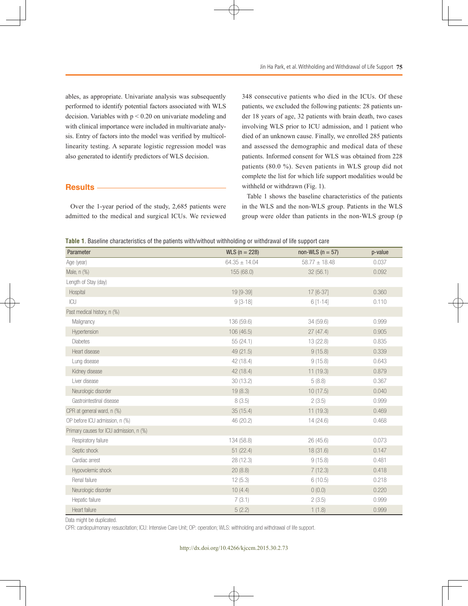ables, as appropriate. Univariate analysis was subsequently performed to identify potential factors associated with WLS decision. Variables with  $p < 0.20$  on univariate modeling and with clinical importance were included in multivariate analysis. Entry of factors into the model was verified by multicollinearity testing. A separate logistic regression model was also generated to identify predictors of WLS decision.

# **Results**

Over the 1-year period of the study, 2,685 patients were admitted to the medical and surgical ICUs. We reviewed 348 consecutive patients who died in the ICUs. Of these patients, we excluded the following patients: 28 patients under 18 years of age, 32 patients with brain death, two cases involving WLS prior to ICU admission, and 1 patient who died of an unknown cause. Finally, we enrolled 285 patients and assessed the demographic and medical data of these patients. Informed consent for WLS was obtained from 228 patients (80.0 %). Seven patients in WLS group did not complete the list for which life support modalities would be withheld or withdrawn (Fig. 1).

Table 1 shows the baseline characteristics of the patients in the WLS and the non-WLS group. Patients in the WLS group were older than patients in the non-WLS group (p

**Table 1**. Baseline characteristics of the patients with/without withholding or withdrawal of life support care

| Parameter                               | $WLS (n = 228)$   | non-WLS ( $n = 57$ ) | p-value |
|-----------------------------------------|-------------------|----------------------|---------|
| Age (year)                              | $64.35 \pm 14.04$ | $58.77 \pm 18.48$    | 0.037   |
| Male, n (%)                             | 155 (68.0)        | 32(56.1)             | 0.092   |
| Length of Stay (day)                    |                   |                      |         |
| Hospital                                | 19 [9-39]         | 17 [6-37]            | 0.360   |
| ICU                                     | $9[3-18]$         | $6[1-14]$            | 0.110   |
| Past medical history, n (%)             |                   |                      |         |
| Malignancy                              | 136 (59.6)        | 34 (59.6)            | 0.999   |
| Hypertension                            | 106 (46.5)        | 27(47.4)             | 0.905   |
| <b>Diabetes</b>                         | 55(24.1)          | 13 (22.8)            | 0.835   |
| Heart disease                           | 49 (21.5)         | 9(15.8)              | 0.339   |
| Lung disease                            | 42 (18.4)         | 9(15.8)              | 0.643   |
| Kidney disease                          | 42 (18.4)         | 11(19.3)             | 0.879   |
| Liver disease                           | 30(13.2)          | 5(8.8)               | 0.367   |
| Neurologic disorder                     | 19(8.3)           | 10(17.5)             | 0.040   |
| Gastrointestinal disease                | 8(3.5)            | 2(3.5)               | 0.999   |
| CPR at general ward, n (%)              | 35(15.4)          | 11(19.3)             | 0.469   |
| OP before ICU admission, n (%)          | 46 (20.2)         | 14(24.6)             | 0.468   |
| Primary causes for ICU admission, n (%) |                   |                      |         |
| Respiratory failure                     | 134 (58.8)        | 26(45.6)             | 0.073   |
| Septic shock                            | 51(22.4)          | 18(31.6)             | 0.147   |
| Cardiac arrest                          | 28 (12.3)         | 9(15.8)              | 0.481   |
| Hypovolemic shock                       | 20(8.8)           | 7(12.3)              | 0.418   |
| Renal failure                           | 12(5.3)           | 6(10.5)              | 0.218   |
| Neurologic disorder                     | 10(4.4)           | 0(0.0)               | 0.220   |
| Hepatic failure                         | 7(3.1)            | 2(3.5)               | 0.999   |
| Heart failure                           | 5(2.2)            | 1(1.8)               | 0.999   |

Data might be duplicated.

CPR: cardiopulmonary resuscitation; ICU: Intensive Care Unit; OP: operation; WLS: withholding and withdrawal of life support.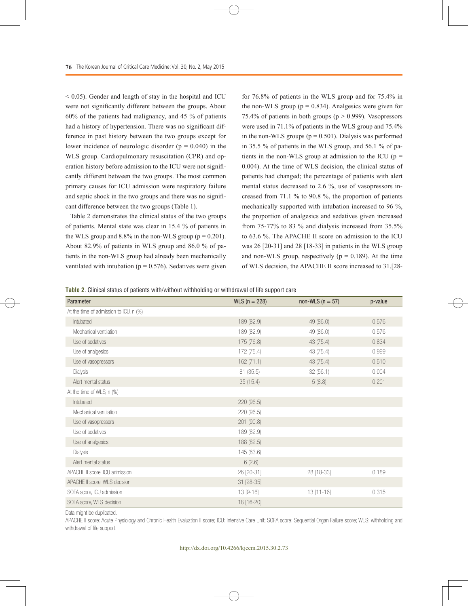$<$  0.05). Gender and length of stay in the hospital and ICU were not significantly different between the groups. About 60% of the patients had malignancy, and 45 % of patients had a history of hypertension. There was no significant difference in past history between the two groups except for lower incidence of neurologic disorder  $(p = 0.040)$  in the WLS group. Cardiopulmonary resuscitation (CPR) and operation history before admission to the ICU were not significantly different between the two groups. The most common primary causes for ICU admission were respiratory failure and septic shock in the two groups and there was no significant difference between the two groups (Table 1).

Table 2 demonstrates the clinical status of the two groups of patients. Mental state was clear in 15.4 % of patients in the WLS group and  $8.8\%$  in the non-WLS group ( $p = 0.201$ ). About 82.9% of patients in WLS group and 86.0 % of patients in the non-WLS group had already been mechanically ventilated with intubation ( $p = 0.576$ ). Sedatives were given

for 76.8% of patients in the WLS group and for 75.4% in the non-WLS group ( $p = 0.834$ ). Analgesics were given for 75.4% of patients in both groups ( $p > 0.999$ ). Vasopressors were used in 71.1% of patients in the WLS group and 75.4% in the non-WLS groups ( $p = 0.501$ ). Dialysis was performed in 35.5 % of patients in the WLS group, and 56.1 % of patients in the non-WLS group at admission to the ICU ( $p =$ 0.004). At the time of WLS decision, the clinical status of patients had changed; the percentage of patients with alert mental status decreased to 2.6 %, use of vasopressors increased from 71.1 % to 90.8 %, the proportion of patients mechanically supported with intubation increased to 96 %, the proportion of analgesics and sedatives given increased from 75-77% to 83 % and dialysis increased from 35.5% to 63.6 %. The APACHE II score on admission to the ICU was 26 [20-31] and 28 [18-33] in patients in the WLS group and non-WLS group, respectively ( $p = 0.189$ ). At the time of WLS decision, the APACHE II score increased to 31.[28-

**Table 2**. Clinical status of patients with/without withholding or withdrawal of life support care

| Parameter                              | $WLS (n = 228)$ | non-WLS ( $n = 57$ ) | p-value |
|----------------------------------------|-----------------|----------------------|---------|
| At the time of admission to ICU, n (%) |                 |                      |         |
| Intubated                              | 189 (82.9)      | 49 (86.0)            | 0.576   |
| Mechanical ventilation                 | 189 (82.9)      | 49 (86.0)            | 0.576   |
| Use of sedatives                       | 175 (76.8)      | 43(75.4)             | 0.834   |
| Use of analgesics                      | 172 (75.4)      | 43 (75.4)            | 0.999   |
| Use of vasopressors                    | 162(71.1)       | 43(75.4)             | 0.510   |
| Dialysis                               | 81(35.5)        | 32(56.1)             | 0.004   |
| Alert mental status                    | 35(15.4)        | 5(8.8)               | 0.201   |
| At the time of WLS, n (%)              |                 |                      |         |
| Intubated                              | 220 (96.5)      |                      |         |
| Mechanical ventilation                 | 220 (96.5)      |                      |         |
| Use of vasopressors                    | 201 (90.8)      |                      |         |
| Use of sedatives                       | 189 (82.9)      |                      |         |
| Use of analgesics                      | 188 (82.5)      |                      |         |
| Dialysis                               | 145 (63.6)      |                      |         |
| Alert mental status                    | 6(2.6)          |                      |         |
| APACHE II score, ICU admission         | 26 [20-31]      | 28 [18-33]           | 0.189   |
| APACHE II score, WLS decision          | 31 [28-35]      |                      |         |
| SOFA score, ICU admission              | 13 [9-16]       | 13 [11-16]           | 0.315   |
| SOFA score, WLS decision               | 18 [16-20]      |                      |         |

Data might be duplicated.

APACHE II score: Acute Physiology and Chronic Health Evaluation II score; ICU: Intensive Care Unit; SOFA score: Sequential Organ Failure score; WLS: withholding and withdrawal of life support.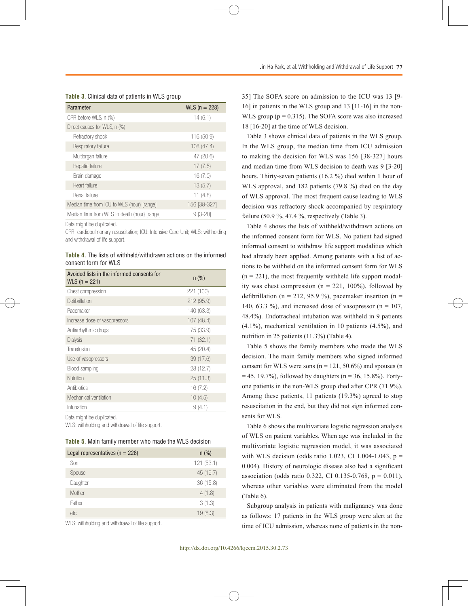|  |  |  |  | <b>Table 3</b> . Clinical data of patients in WLS group |  |  |  |
|--|--|--|--|---------------------------------------------------------|--|--|--|
|--|--|--|--|---------------------------------------------------------|--|--|--|

| Parameter                                    | $WLS (n = 228)$ |
|----------------------------------------------|-----------------|
| CPR before WLS, n (%)                        | 14(6.1)         |
| Direct causes for WLS, n (%)                 |                 |
| Refractory shock                             | 116 (50.9)      |
| Respiratory failure                          | 108 (47.4)      |
| Multiorgan failure                           | 47 (20.6)       |
| Hepatic failure                              | 17(7.5)         |
| Brain damage                                 | 16(7.0)         |
| Heart failure                                | 13(5.7)         |
| Renal failure                                | 11(4.8)         |
| Median time from ICU to WLS (hour) [range]   | 156 [38-327]    |
| Median time from WLS to death (hour) [range] | 9 [3-20]        |

Data might be duplicated.

CPR: cardiopulmonary resuscitation; ICU: Intensive Care Unit; WLS: withholding and withdrawal of life support.

**Table 4**. The lists of withheld/withdrawn actions on the informed consent form for WLS

| Avoided lists in the informed consents for<br>$WLS (n = 221)$ | $n$ (%)    |
|---------------------------------------------------------------|------------|
| Chest compression                                             | 221 (100)  |
| Defibrillation                                                | 212 (95.9) |
| Pacemaker                                                     | 140 (63.3) |
| Increase dose of vasopressors                                 | 107(48.4)  |
| Antiarrhythmic drugs                                          | 75 (33.9)  |
| Dialysis                                                      | 71 (32.1)  |
| Transfusion                                                   | 45 (20.4)  |
| Use of vasopressors                                           | 39(17.6)   |
| Blood sampling                                                | 28 (12.7)  |
| Nutrition                                                     | 25(11.3)   |
| Antibiotics                                                   | 16(7.2)    |
| Mechanical ventilation                                        | 10(4.5)    |
| Intubation                                                    | 9(4.1)     |

Data might be duplicated.

WLS: withholding and withdrawal of life support.

|  | <b>Table 5.</b> Main family member who made the WLS decision |
|--|--------------------------------------------------------------|
|--|--------------------------------------------------------------|

| Legal representatives ( $n = 228$ ) | $n$ (%)   |
|-------------------------------------|-----------|
| Son                                 | 121(53.1) |
| Spouse                              | 45 (19.7) |
| Daughter                            | 36 (15.8) |
| Mother                              | 4(1.8)    |
| Father                              | 3(1.3)    |
| etc.                                | 19(8.3)   |

WLS: withholding and withdrawal of life support.

35] The SOFA score on admission to the ICU was 13 [9- 16] in patients in the WLS group and 13 [11-16] in the non-WLS group  $(p = 0.315)$ . The SOFA score was also increased 18 [16-20] at the time of WLS decision.

Table 3 shows clinical data of patients in the WLS group. In the WLS group, the median time from ICU admission to making the decision for WLS was 156 [38-327] hours and median time from WLS decision to death was 9 [3-20] hours. Thirty-seven patients (16.2 %) died within 1 hour of WLS approval, and 182 patients (79.8 %) died on the day of WLS approval. The most frequent cause leading to WLS decision was refractory shock accompanied by respiratory failure  $(50.9\%$ , 47.4%, respectively (Table 3).

Table 4 shows the lists of withheld/withdrawn actions on the informed consent form for WLS. No patient had signed informed consent to withdraw life support modalities which had already been applied. Among patients with a list of actions to be withheld on the informed consent form for WLS  $(n = 221)$ , the most frequently withheld life support modality was chest compression ( $n = 221$ , 100%), followed by defibrillation (n = 212, 95.9 %), pacemaker insertion (n = 140, 63.3 %), and increased dose of vasopressor ( $n = 107$ , 48.4%). Endotracheal intubation was withheld in 9 patients (4.1%), mechanical ventilation in 10 patients (4.5%), and nutrition in 25 patients (11.3%) (Table 4).

Table 5 shows the family members who made the WLS decision. The main family members who signed informed consent for WLS were sons ( $n = 121, 50.6\%$ ) and spouses (n  $= 45, 19.7\%$ , followed by daughters (n = 36, 15.8%). Fortyone patients in the non-WLS group died after CPR (71.9%). Among these patients, 11 patients (19.3%) agreed to stop resuscitation in the end, but they did not sign informed consents for WLS.

Table 6 shows the multivariate logistic regression analysis of WLS on patient variables. When age was included in the multivariate logistic regression model, it was associated with WLS decision (odds ratio 1.023, CI 1.004-1.043,  $p =$ 0.004). History of neurologic disease also had a significant association (odds ratio 0.322, CI 0.135-0.768,  $p = 0.011$ ), whereas other variables were eliminated from the model (Table 6).

Subgroup analysis in patients with malignancy was done as follows: 17 patients in the WLS group were alert at the time of ICU admission, whereas none of patients in the non-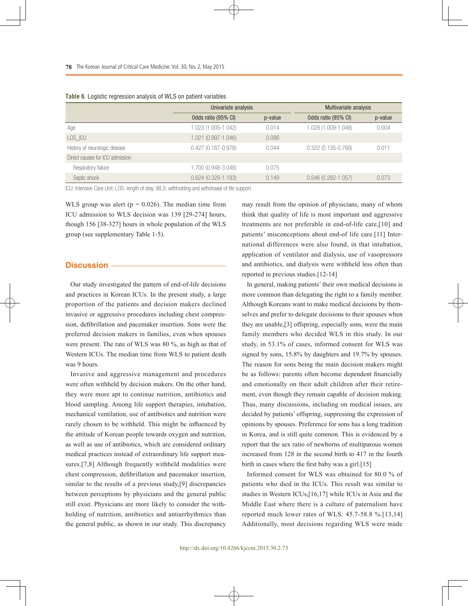|                                 | Univariate analysis    |         | Multivariate analysis  |         |  |
|---------------------------------|------------------------|---------|------------------------|---------|--|
|                                 | Odds ratio (95% CI)    | p-value | Odds ratio (95% CI)    | p-value |  |
| Age                             | 1.023 (1.005-1.042)    | 0.014   | 1.028 (1.009-1.048)    | 0.004   |  |
| LOS ICU                         | 1.021 (0.997-1.046)    | 0.086   |                        |         |  |
| History of neurologic disease   | $0.427(0.187 - 0.978)$ | 0.044   | $0.322(0.135 - 0.768)$ | 0.011   |  |
| Direct causes for ICU admission |                        |         |                        |         |  |
| Respiratory failure             | 1.700 (0.948-3.048)    | 0.075   |                        |         |  |
| Septic shock                    | $0.624(0.329 - 1.183)$ | 0.149   | $0.546(0.282 - 1.057)$ | 0.073   |  |

|  |  | <b>Table 6</b> . Logistic regression analysis of WLS on patient variables |  |  |  |  |
|--|--|---------------------------------------------------------------------------|--|--|--|--|
|--|--|---------------------------------------------------------------------------|--|--|--|--|

ICU: Intensive Care Unit; LOS: length of stay; WLS: withholding and withdrawal of life support.

WLS group was alert ( $p = 0.026$ ). The median time from ICU admission to WLS decision was 139 [29-274] hours, though 156 [38-327] hours in whole population of the WLS group (see supplementary Table 1-5).

## **Discussion**

Our study investigated the pattern of end-of-life decisions and practices in Korean ICUs. In the present study, a large proportion of the patients and decision makers declined invasive or aggressive procedures including chest compression, defibrillation and pacemaker insertion. Sons were the preferred decision makers in families, even when spouses were present. The rate of WLS was 80 %, as high as that of Western ICUs. The median time from WLS to patient death was 9 hours.

Invasive and aggressive management and procedures were often withheld by decision makers. On the other hand, they were more apt to continue nutrition, antibiotics and blood sampling. Among life support therapies, intubation, mechanical ventilation, use of antibiotics and nutrition were rarely chosen to be withheld. This might be influenced by the attitude of Korean people towards oxygen and nutrition, as well as use of antibiotics, which are considered ordinary medical practices instead of extraordinary life support measures.[7,8] Although frequently withheld modalities were chest compression, defibrillation and pacemaker insertion, similar to the results of a previous study,[9] discrepancies between perceptions by physicians and the general public still exist. Physicians are more likely to consider the withholding of nutrition, antibiotics and antiarrhythmics than the general public, as shown in our study. This discrepancy

may result from the opinion of physicians, many of whom think that quality of life is most important and aggressive treatments are not preferable in end-of-life care,[10] and patients' misconceptions about end-of life care.[11] International differences were also found, in that intubation, application of ventilator and dialysis, use of vasopressors and antibiotics, and dialysis were withheld less often than reported in previous studies.[12-14]

In general, making patients' their own medical decisions is more common than delegating the right to a family member. Although Koreans want to make medical decisions by themselves and prefer to delegate decisions to their spouses when they are unable,[3] offspring, especially sons, were the main family members who decided WLS in this study. In our study, in 53.1% of cases, informed consent for WLS was signed by sons, 15.8% by daughters and 19.7% by spouses. The reason for sons being the main decision makers might be as follows: parents often become dependent financially and emotionally on their adult children after their retirement, even though they remain capable of decision making. Thus, many discussions, including on medical issues, are decided by patients' offspring, suppressing the expression of opinions by spouses. Preference for sons has a long tradition in Korea, and is still quite common. This is evidenced by a report that the sex ratio of newborns of multiparous women increased from 128 in the second birth to 417 in the fourth birth in cases where the first baby was a girl.[15]

Informed consent for WLS was obtained for 80.0 % of patients who died in the ICUs. This result was similar to studies in Western ICUs,[16,17] while ICUs in Asia and the Middle East where there is a culture of paternalism have reported much lower rates of WLS: 45.7-58.8 %.[13,14] Additionally, most decisions regarding WLS were made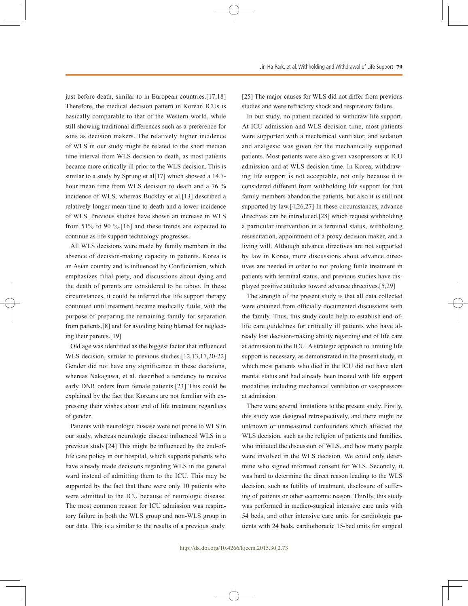just before death, similar to in European countries.[17,18] Therefore, the medical decision pattern in Korean ICUs is basically comparable to that of the Western world, while still showing traditional differences such as a preference for sons as decision makers. The relatively higher incidence of WLS in our study might be related to the short median time interval from WLS decision to death, as most patients became more critically ill prior to the WLS decision. This is similar to a study by Sprung et al<sup>[17]</sup> which showed a 14.7hour mean time from WLS decision to death and a 76 % incidence of WLS, whereas Buckley et al.[13] described a relatively longer mean time to death and a lower incidence of WLS. Previous studies have shown an increase in WLS from 51% to 90 %,[16] and these trends are expected to continue as life support technology progresses.

All WLS decisions were made by family members in the absence of decision-making capacity in patients. Korea is an Asian country and is influenced by Confucianism, which emphasizes filial piety, and discussions about dying and the death of parents are considered to be taboo. In these circumstances, it could be inferred that life support therapy continued until treatment became medically futile, with the purpose of preparing the remaining family for separation from patients,[8] and for avoiding being blamed for neglecting their parents.[19]

Old age was identified as the biggest factor that influenced WLS decision, similar to previous studies.[12,13,17,20-22] Gender did not have any significance in these decisions, whereas Nakagawa, et al. described a tendency to receive early DNR orders from female patients.[23] This could be explained by the fact that Koreans are not familiar with expressing their wishes about end of life treatment regardless of gender.

Patients with neurologic disease were not prone to WLS in our study, whereas neurologic disease influenced WLS in a previous study.[24] This might be influenced by the end-oflife care policy in our hospital, which supports patients who have already made decisions regarding WLS in the general ward instead of admitting them to the ICU. This may be supported by the fact that there were only 10 patients who were admitted to the ICU because of neurologic disease. The most common reason for ICU admission was respiratory failure in both the WLS group and non-WLS group in our data. This is a similar to the results of a previous study.

[25] The major causes for WLS did not differ from previous studies and were refractory shock and respiratory failure.

In our study, no patient decided to withdraw life support. At ICU admission and WLS decision time, most patients were supported with a mechanical ventilator, and sedation and analgesic was given for the mechanically supported patients. Most patients were also given vasopressors at ICU admission and at WLS decision time. In Korea, withdrawing life support is not acceptable, not only because it is considered different from withholding life support for that family members abandon the patients, but also it is still not supported by law.[4,26,27] In these circumstances, advance directives can be introduced,[28] which request withholding a particular intervention in a terminal status, withholding resuscitation, appointment of a proxy decision maker, and a living will. Although advance directives are not supported by law in Korea, more discussions about advance directives are needed in order to not prolong futile treatment in patients with terminal status, and previous studies have displayed positive attitudes toward advance directives.[5,29]

The strength of the present study is that all data collected were obtained from officially documented discussions with the family. Thus, this study could help to establish end-oflife care guidelines for critically ill patients who have already lost decision-making ability regarding end of life care at admission to the ICU. A strategic approach to limiting life support is necessary, as demonstrated in the present study, in which most patients who died in the ICU did not have alert mental status and had already been treated with life support modalities including mechanical ventilation or vasopressors at admission.

There were several limitations to the present study. Firstly, this study was designed retrospectively, and there might be unknown or unmeasured confounders which affected the WLS decision, such as the religion of patients and families, who initiated the discussion of WLS, and how many people were involved in the WLS decision. We could only determine who signed informed consent for WLS. Secondly, it was hard to determine the direct reason leading to the WLS decision, such as futility of treatment, disclosure of suffering of patients or other economic reason. Thirdly, this study was performed in medico-surgical intensive care units with 54 beds, and other intensive care units for cardiologic patients with 24 beds, cardiothoracic 15-bed units for surgical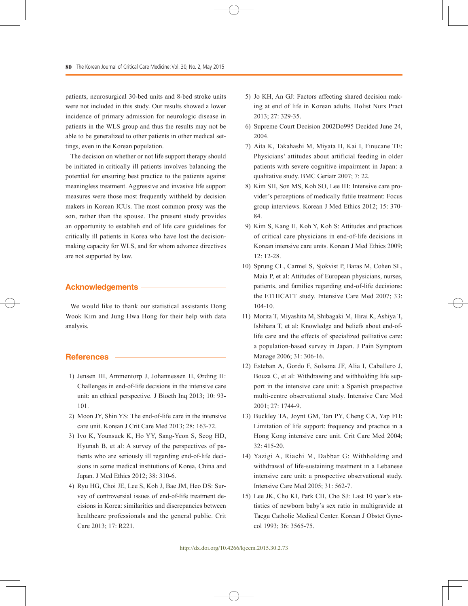patients, neurosurgical 30-bed units and 8-bed stroke units were not included in this study. Our results showed a lower incidence of primary admission for neurologic disease in patients in the WLS group and thus the results may not be able to be generalized to other patients in other medical settings, even in the Korean population.

The decision on whether or not life support therapy should be initiated in critically ill patients involves balancing the potential for ensuring best practice to the patients against meaningless treatment. Aggressive and invasive life support measures were those most frequently withheld by decision makers in Korean ICUs. The most common proxy was the son, rather than the spouse. The present study provides an opportunity to establish end of life care guidelines for critically ill patients in Korea who have lost the decisionmaking capacity for WLS, and for whom advance directives are not supported by law.

# **Acknowledgements**

We would like to thank our statistical assistants Dong Wook Kim and Jung Hwa Hong for their help with data analysis.

# **References**

- 1) Jensen HI, Ammentorp J, Johannessen H, Ørding H: Challenges in end-of-life decisions in the intensive care unit: an ethical perspective. J Bioeth Inq 2013; 10: 93- 101.
- 2) Moon JY, Shin YS: The end-of-life care in the intensive care unit. Korean J Crit Care Med 2013; 28: 163-72.
- 3) Ivo K, Younsuck K, Ho YY, Sang-Yeon S, Seog HD, Hyunah B, et al: A survey of the perspectives of patients who are seriously ill regarding end-of-life decisions in some medical institutions of Korea, China and Japan. J Med Ethics 2012; 38: 310-6.
- 4) Ryu HG, Choi JE, Lee S, Koh J, Bae JM, Heo DS: Survey of controversial issues of end-of-life treatment decisions in Korea: similarities and discrepancies between healthcare professionals and the general public. Crit Care 2013; 17: R221.
- 5) Jo KH, An GJ: Factors affecting shared decision making at end of life in Korean adults. Holist Nurs Pract 2013; 27: 329-35.
- 6) Supreme Court Decision 2002Do995 Decided June 24, 2004.
- 7) Aita K, Takahashi M, Miyata H, Kai I, Finucane TE: Physicians' attitudes about artificial feeding in older patients with severe cognitive impairment in Japan: a qualitative study. BMC Geriatr 2007; 7: 22.
- 8) Kim SH, Son MS, Koh SO, Lee IH: Intensive care provider's perceptions of medically futile treatment: Focus group interviews. Korean J Med Ethics 2012; 15: 370- 84.
- 9) Kim S, Kang H, Koh Y, Koh S: Attitudes and practices of critical care physicians in end-of-life decisions in Korean intensive care units. Korean J Med Ethics 2009; 12: 12-28.
- 10) Sprung CL, Carmel S, Sjokvist P, Baras M, Cohen SL, Maia P, et al: Attitudes of European physicians, nurses, patients, and families regarding end-of-life decisions: the ETHICATT study. Intensive Care Med 2007; 33: 104-10.
- 11) Morita T, Miyashita M, Shibagaki M, Hirai K, Ashiya T, Ishihara T, et al: Knowledge and beliefs about end-oflife care and the effects of specialized palliative care: a population-based survey in Japan. J Pain Symptom Manage 2006; 31: 306-16.
- 12) Esteban A, Gordo F, Solsona JF, Alia I, Caballero J, Bouza C, et al: Withdrawing and withholding life support in the intensive care unit: a Spanish prospective multi-centre observational study. Intensive Care Med 2001; 27: 1744-9.
- 13) Buckley TA, Joynt GM, Tan PY, Cheng CA, Yap FH: Limitation of life support: frequency and practice in a Hong Kong intensive care unit. Crit Care Med 2004; 32: 415-20.
- 14) Yazigi A, Riachi M, Dabbar G: Withholding and withdrawal of life-sustaining treatment in a Lebanese intensive care unit: a prospective observational study. Intensive Care Med 2005; 31: 562-7.
- 15) Lee JK, Cho KI, Park CH, Cho SJ: Last 10 year's statistics of newborn baby's sex ratio in multigravide at Taegu Catholic Medical Center. Korean J Obstet Gynecol 1993; 36: 3565-75.